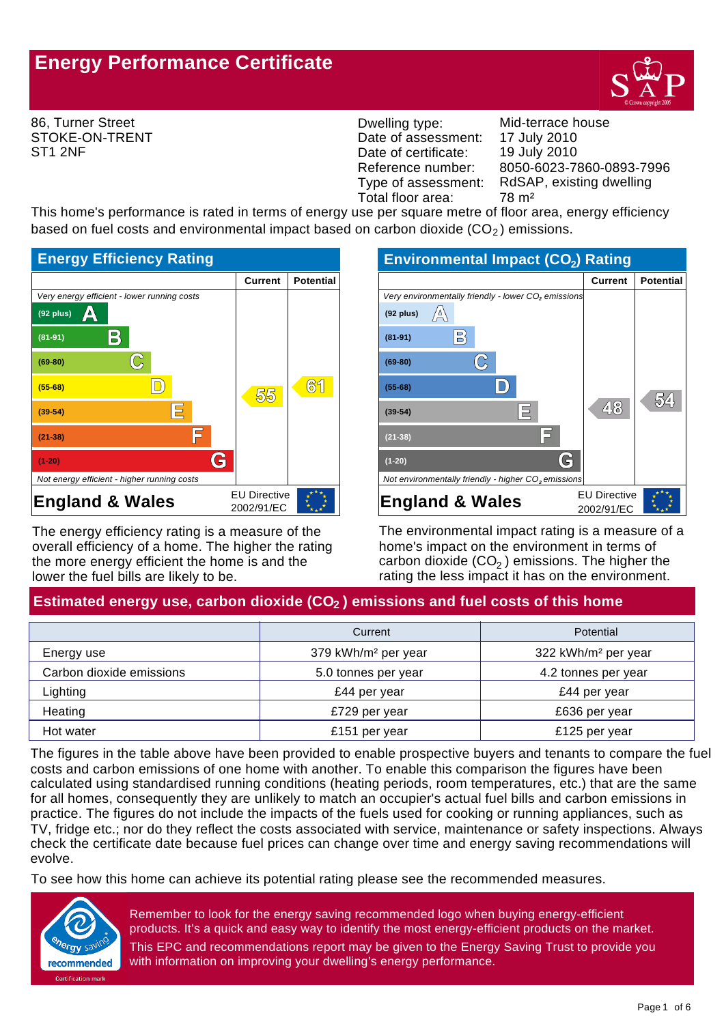

86, Turner Street STOKE-ON-TRENT ST1 2NF

Dwelling type: Mid-terrace house Date of assessment: Date of certificate: Reference number:<br>Type of assessment: Total floor area: 78 m<sup>2</sup>

8050-6023-7860-0893-7996 19 July 2010 17 July 2010 RdSAP, existing dwelling

This home's performance is rated in terms of energy use per square metre of floor area, energy efficiency based on fuel costs and environmental impact based on carbon dioxide  $(CO<sub>2</sub>)$  emissions.



The energy efficiency rating is a measure of the overall efficiency of a home. The higher the rating the more energy efficient the home is and the lower the fuel bills are likely to be.

| <b>Environmental Impact (CO2) Rating</b>                        |                     |                  |
|-----------------------------------------------------------------|---------------------|------------------|
|                                                                 | <b>Current</b>      | <b>Potential</b> |
| Very environmentally friendly - lower CO <sub>2</sub> emissions |                     |                  |
| $(92$ plus)<br>$\sqrt{7}$                                       |                     |                  |
| B<br>$(81 - 91)$                                                |                     |                  |
| $(69-80)$                                                       |                     |                  |
| $(55-68)$                                                       |                     |                  |
| $(39-54)$                                                       | 48                  | 74               |
| $(21-38)$                                                       |                     |                  |
| $(1-20)$                                                        |                     |                  |
| Not environmentally friendly - higher CO <sub>2</sub> emissions |                     |                  |
| <b>England &amp; Wales</b>                                      | <b>EU Directive</b> |                  |
|                                                                 | 2002/91/EC          |                  |

The environmental impact rating is a measure of a home's impact on the environment in terms of carbon dioxide (CO $_2$  ) emissions. The higher the rating the less impact it has on the environment.

# Estimated energy use, carbon dioxide (CO<sub>2</sub>) emissions and fuel costs of this home

|                          | Current                         | Potential                       |
|--------------------------|---------------------------------|---------------------------------|
| Energy use               | 379 kWh/m <sup>2</sup> per year | 322 kWh/m <sup>2</sup> per year |
| Carbon dioxide emissions | 5.0 tonnes per year             | 4.2 tonnes per year             |
| Lighting                 | £44 per year                    | £44 per year                    |
| Heating                  | £729 per year                   | £636 per year                   |
| Hot water                | £151 per year                   | £125 per year                   |

The figures in the table above have been provided to enable prospective buyers and tenants to compare the fuel costs and carbon emissions of one home with another. To enable this comparison the figures have been calculated using standardised running conditions (heating periods, room temperatures, etc.) that are the same for all homes, consequently they are unlikely to match an occupier's actual fuel bills and carbon emissions in practice. The figures do not include the impacts of the fuels used for cooking or running appliances, such as TV, fridge etc.; nor do they reflect the costs associated with service, maintenance or safety inspections. Always check the certificate date because fuel prices can change over time and energy saving recommendations will evolve.

To see how this home can achieve its potential rating please see the recommended measures.



Remember to look for the energy saving recommended logo when buying energy-efficient products. It's a quick and easy way to identify the most energy-efficient products on the market. This EPC and recommendations report may be given to the Energy Saving Trust to provide you with information on improving your dwelling's energy performance.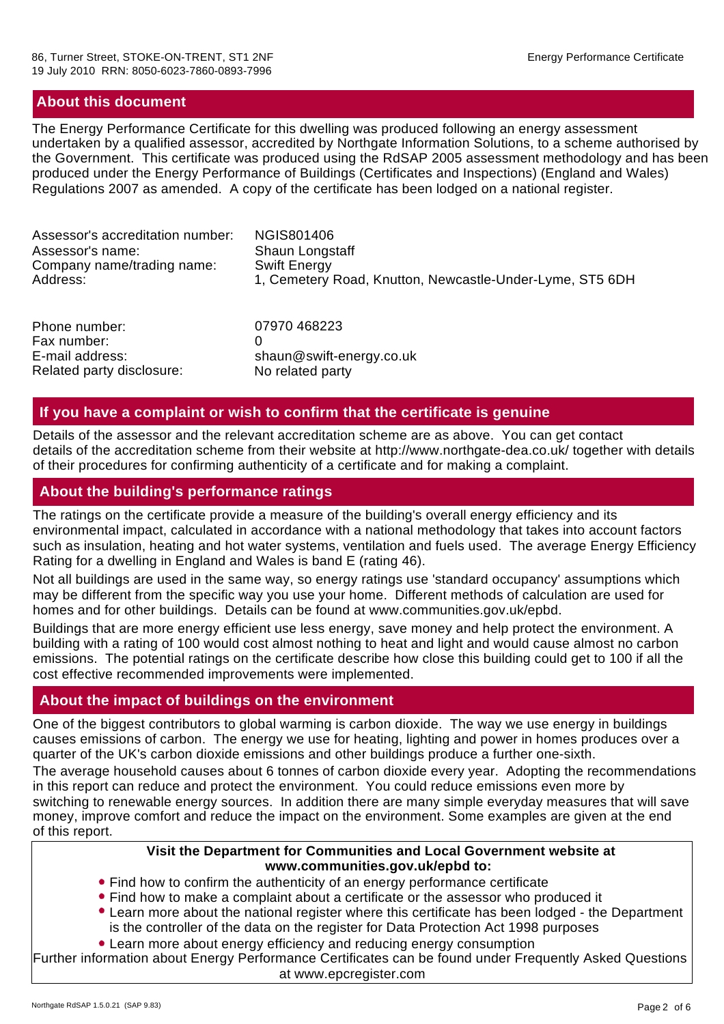## **About this document**

The Energy Performance Certificate for this dwelling was produced following an energy assessment undertaken by a qualified assessor, accredited by Northgate Information Solutions, to a scheme authorised by the Government. This certificate was produced using the RdSAP 2005 assessment methodology and has been produced under the Energy Performance of Buildings (Certificates and Inspections) (England and Wales) Regulations 2007 as amended. A copy of the certificate has been lodged on a national register.

| Assessor's accreditation number:                | <b>NGIS801406</b>                                        |
|-------------------------------------------------|----------------------------------------------------------|
| Assessor's name:                                | Shaun Longstaff                                          |
| Company name/trading name:                      | <b>Swift Energy</b>                                      |
| Address:                                        | 1, Cemetery Road, Knutton, Newcastle-Under-Lyme, ST5 6DH |
| Phone number:<br>Fax number:<br>E-mail address: | 07970 468223<br>shaun@swift-energy.co.uk                 |

## **If you have a complaint or wish to confirm that the certificate is genuine**

Details of the assessor and the relevant accreditation scheme are as above. You can get contact details of the accreditation scheme from their website at http://www.northgate-dea.co.uk/ together with details of their procedures for confirming authenticity of a certificate and for making a complaint.

# **About the building's performance ratings**

Related party disclosure: No related party

The ratings on the certificate provide a measure of the building's overall energy efficiency and its environmental impact, calculated in accordance with a national methodology that takes into account factors such as insulation, heating and hot water systems, ventilation and fuels used. The average Energy Efficiency Rating for a dwelling in England and Wales is band E (rating 46).

Not all buildings are used in the same way, so energy ratings use 'standard occupancy' assumptions which may be different from the specific way you use your home. Different methods of calculation are used for homes and for other buildings. Details can be found at www.communities.gov.uk/epbd.

Buildings that are more energy efficient use less energy, save money and help protect the environment. A building with a rating of 100 would cost almost nothing to heat and light and would cause almost no carbon emissions. The potential ratings on the certificate describe how close this building could get to 100 if all the cost effective recommended improvements were implemented.

# **About the impact of buildings on the environment**

One of the biggest contributors to global warming is carbon dioxide. The way we use energy in buildings causes emissions of carbon. The energy we use for heating, lighting and power in homes produces over a quarter of the UK's carbon dioxide emissions and other buildings produce a further one-sixth.

The average household causes about 6 tonnes of carbon dioxide every year. Adopting the recommendations in this report can reduce and protect the environment. You could reduce emissions even more by switching to renewable energy sources. In addition there are many simple everyday measures that will save money, improve comfort and reduce the impact on the environment. Some examples are given at the end of this report.

#### **Visit the Department for Communities and Local Government website at www.communities.gov.uk/epbd to:**

- Find how to confirm the authenticity of an energy performance certificate
- Find how to make a complaint about a certificate or the assessor who produced it
- Learn more about the national register where this certificate has been lodged the Department is the controller of the data on the register for Data Protection Act 1998 purposes
- Learn more about energy efficiency and reducing energy consumption

Further information about Energy Performance Certificates can be found under Frequently Asked Questions at www.epcregister.com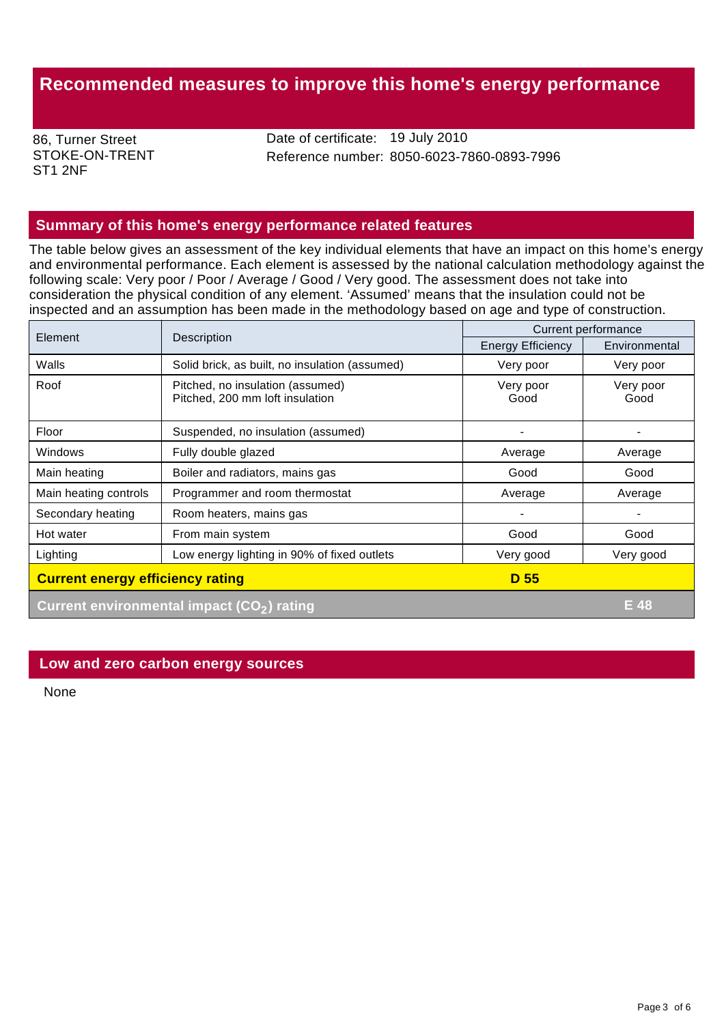# **Recommended measures to improve this home's energy performance**

86, Turner Street STOKE-ON-TRENT ST1 2NF

Date of certificate: 19 July 2010 Reference number: 8050-6023-7860-0893-7996

# **Summary of this home's energy performance related features**

The table below gives an assessment of the key individual elements that have an impact on this home's energy and environmental performance. Each element is assessed by the national calculation methodology against the following scale: Very poor / Poor / Average / Good / Very good. The assessment does not take into consideration the physical condition of any element. 'Assumed' means that the insulation could not be inspected and an assumption has been made in the methodology based on age and type of construction.

| Element                                 | Description                                                         | <b>Current performance</b> |                   |
|-----------------------------------------|---------------------------------------------------------------------|----------------------------|-------------------|
|                                         |                                                                     | <b>Energy Efficiency</b>   | Environmental     |
| Walls                                   | Solid brick, as built, no insulation (assumed)                      | Very poor                  | Very poor         |
| Roof                                    | Pitched, no insulation (assumed)<br>Pitched, 200 mm loft insulation | Very poor<br>Good          | Very poor<br>Good |
| Floor                                   | Suspended, no insulation (assumed)                                  | $\blacksquare$             |                   |
| <b>Windows</b>                          | Fully double glazed                                                 | Average                    | Average           |
| Main heating                            | Boiler and radiators, mains gas                                     | Good                       | Good              |
| Main heating controls                   | Programmer and room thermostat                                      | Average                    | Average           |
| Secondary heating                       | Room heaters, mains gas                                             |                            |                   |
| Hot water                               | From main system                                                    | Good                       | Good              |
| Lighting                                | Low energy lighting in 90% of fixed outlets                         | Very good                  | Very good         |
| <b>Current energy efficiency rating</b> |                                                                     | D <sub>55</sub>            |                   |
|                                         | Current environmental impact (CO <sub>2</sub> ) rating              |                            | E 48              |

#### **Low and zero carbon energy sources**

None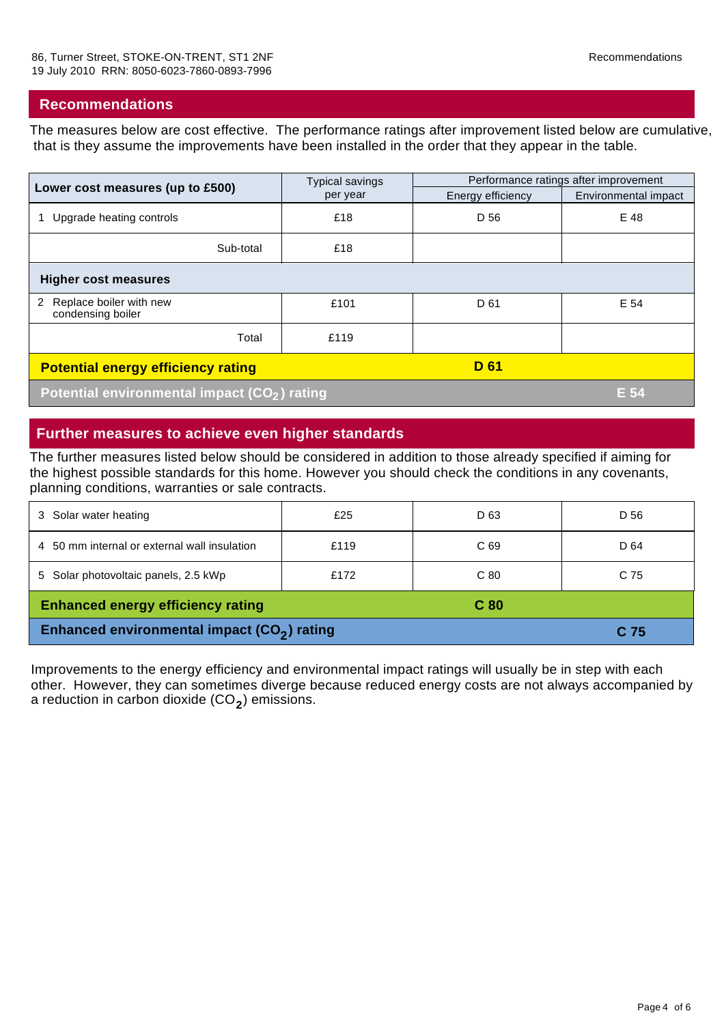### **Recommendations**

The measures below are cost effective. The performance ratings after improvement listed below are cumulative, that is they assume the improvements have been installed in the order that they appear in the table.

| Lower cost measures (up to £500)                         | <b>Typical savings</b> | Performance ratings after improvement |                      |
|----------------------------------------------------------|------------------------|---------------------------------------|----------------------|
|                                                          | per year               | Energy efficiency                     | Environmental impact |
| Upgrade heating controls                                 | £18                    | D 56                                  | E 48                 |
| Sub-total                                                | £18                    |                                       |                      |
| <b>Higher cost measures</b>                              |                        |                                       |                      |
| Replace boiler with new<br>2<br>condensing boiler        | £101                   | D 61                                  | E 54                 |
| Total                                                    | £119                   |                                       |                      |
| <b>Potential energy efficiency rating</b>                |                        | <b>D</b> 61                           |                      |
| Potential environmental impact (CO <sub>2</sub> ) rating |                        |                                       | E 54                 |

#### **Further measures to achieve even higher standards**

The further measures listed below should be considered in addition to those already specified if aiming for the highest possible standards for this home. However you should check the conditions in any covenants, planning conditions, warranties or sale contracts.

| 3 Solar water heating                        | £25  | D 63            | D 56 |
|----------------------------------------------|------|-----------------|------|
| 4 50 mm internal or external wall insulation | £119 | C <sub>69</sub> | D 64 |
| 5 Solar photovoltaic panels, 2.5 kWp         | £172 | C <sub>80</sub> | C 75 |
| <b>Enhanced energy efficiency rating</b>     |      | C <sub>80</sub> |      |
| Enhanced environmental impact $(CO2)$ rating |      |                 | C 75 |

Improvements to the energy efficiency and environmental impact ratings will usually be in step with each other. However, they can sometimes diverge because reduced energy costs are not always accompanied by a reduction in carbon dioxide (CO $_{2}$ ) emissions.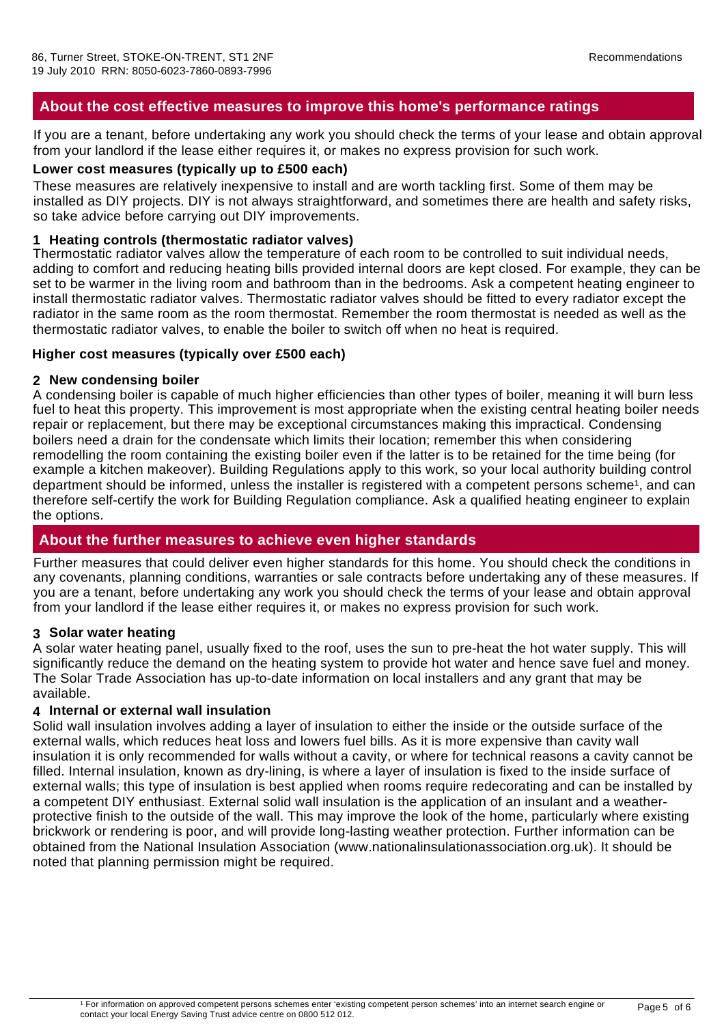# **About the cost effective measures to improve this home's performance ratings**

If you are a tenant, before undertaking any work you should check the terms of your lease and obtain approval from your landlord if the lease either requires it, or makes no express provision for such work.

#### **Lower cost measures (typically up to £500 each)**

These measures are relatively inexpensive to install and are worth tackling first. Some of them may be installed as DIY projects. DIY is not always straightforward, and sometimes there are health and safety risks, so take advice before carrying out DIY improvements.

### **1 Heating controls (thermostatic radiator valves)**

Thermostatic radiator valves allow the temperature of each room to be controlled to suit individual needs, adding to comfort and reducing heating bills provided internal doors are kept closed. For example, they can be set to be warmer in the living room and bathroom than in the bedrooms. Ask a competent heating engineer to install thermostatic radiator valves. Thermostatic radiator valves should be fitted to every radiator except the radiator in the same room as the room thermostat. Remember the room thermostat is needed as well as the thermostatic radiator valves, to enable the boiler to switch off when no heat is required.

### **Higher cost measures (typically over £500 each)**

#### **2 New condensing boiler**

A condensing boiler is capable of much higher efficiencies than other types of boiler, meaning it will burn less fuel to heat this property. This improvement is most appropriate when the existing central heating boiler needs repair or replacement, but there may be exceptional circumstances making this impractical. Condensing boilers need a drain for the condensate which limits their location; remember this when considering remodelling the room containing the existing boiler even if the latter is to be retained for the time being (for example a kitchen makeover). Building Regulations apply to this work, so your local authority building control department should be informed, unless the installer is registered with a competent persons scheme<sup>1</sup>, and can therefore self-certify the work for Building Regulation compliance. Ask a qualified heating engineer to explain the options.

# **About the further measures to achieve even higher standards**

Further measures that could deliver even higher standards for this home. You should check the conditions in any covenants, planning conditions, warranties or sale contracts before undertaking any of these measures. If you are a tenant, before undertaking any work you should check the terms of your lease and obtain approval from your landlord if the lease either requires it, or makes no express provision for such work.

### **3 Solar water heating**

A solar water heating panel, usually fixed to the roof, uses the sun to pre-heat the hot water supply. This will significantly reduce the demand on the heating system to provide hot water and hence save fuel and money. The Solar Trade Association has up-to-date information on local installers and any grant that may be available.

### **4 Internal or external wall insulation**

Solid wall insulation involves adding a layer of insulation to either the inside or the outside surface of the external walls, which reduces heat loss and lowers fuel bills. As it is more expensive than cavity wall insulation it is only recommended for walls without a cavity, or where for technical reasons a cavity cannot be filled. Internal insulation, known as dry-lining, is where a layer of insulation is fixed to the inside surface of external walls; this type of insulation is best applied when rooms require redecorating and can be installed by a competent DIY enthusiast. External solid wall insulation is the application of an insulant and a weatherprotective finish to the outside of the wall. This may improve the look of the home, particularly where existing brickwork or rendering is poor, and will provide long-lasting weather protection. Further information can be obtained from the National Insulation Association (www.nationalinsulationassociation.org.uk). It should be noted that planning permission might be required.